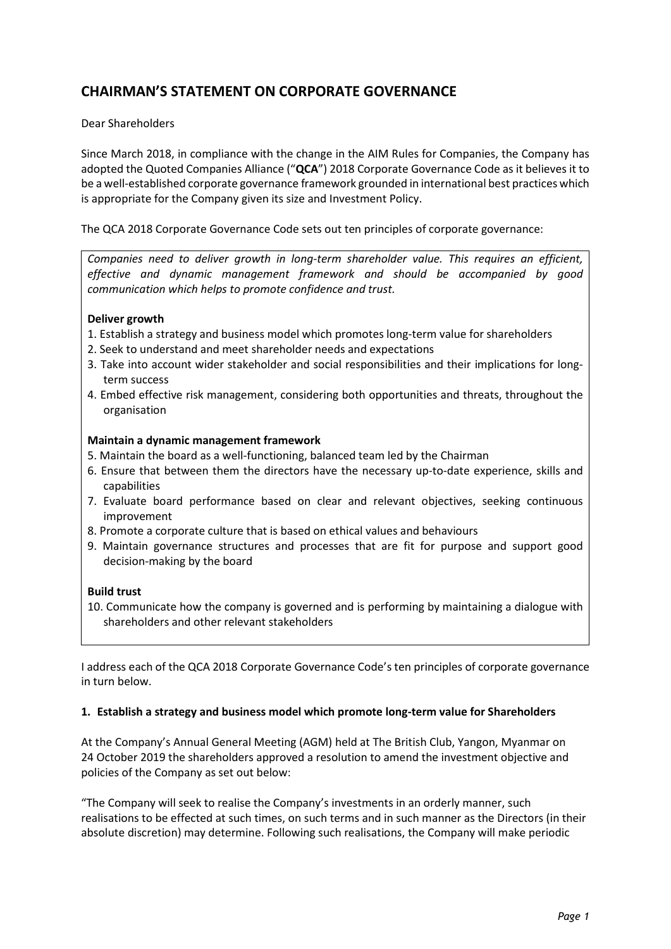# CHAIRMAN'S STATEMENT ON CORPORATE GOVERNANCE

# Dear Shareholders

Since March 2018, in compliance with the change in the AIM Rules for Companies, the Company has adopted the Quoted Companies Alliance ("QCA") 2018 Corporate Governance Code as it believes it to be a well-established corporate governance framework grounded in international best practices which is appropriate for the Company given its size and Investment Policy.

The QCA 2018 Corporate Governance Code sets out ten principles of corporate governance:

Companies need to deliver growth in long-term shareholder value. This requires an efficient, effective and dynamic management framework and should be accompanied by good communication which helps to promote confidence and trust.

# Deliver growth

- 1. Establish a strategy and business model which promotes long-term value for shareholders
- 2. Seek to understand and meet shareholder needs and expectations
- 3. Take into account wider stakeholder and social responsibilities and their implications for longterm success
- 4. Embed effective risk management, considering both opportunities and threats, throughout the organisation

#### Maintain a dynamic management framework

- 5. Maintain the board as a well-functioning, balanced team led by the Chairman
- 6. Ensure that between them the directors have the necessary up-to-date experience, skills and capabilities
- 7. Evaluate board performance based on clear and relevant objectives, seeking continuous improvement
- 8. Promote a corporate culture that is based on ethical values and behaviours
- 9. Maintain governance structures and processes that are fit for purpose and support good decision-making by the board

#### Build trust

10. Communicate how the company is governed and is performing by maintaining a dialogue with shareholders and other relevant stakeholders

I address each of the QCA 2018 Corporate Governance Code's ten principles of corporate governance in turn below.

#### 1. Establish a strategy and business model which promote long-term value for Shareholders

At the Company's Annual General Meeting (AGM) held at The British Club, Yangon, Myanmar on 24 October 2019 the shareholders approved a resolution to amend the investment objective and policies of the Company as set out below:

"The Company will seek to realise the Company's investments in an orderly manner, such realisations to be effected at such times, on such terms and in such manner as the Directors (in their absolute discretion) may determine. Following such realisations, the Company will make periodic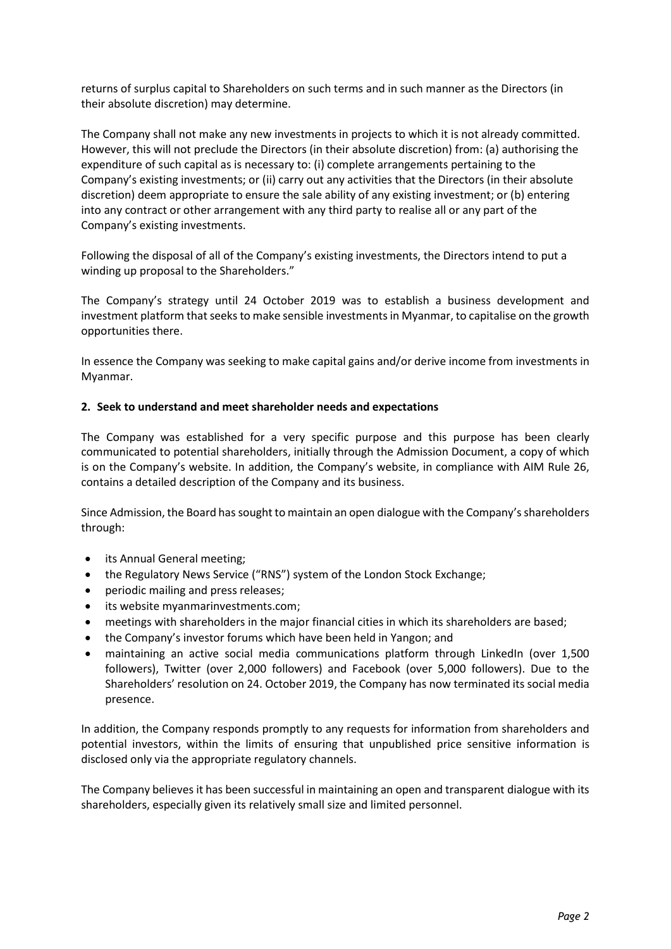returns of surplus capital to Shareholders on such terms and in such manner as the Directors (in their absolute discretion) may determine.

The Company shall not make any new investments in projects to which it is not already committed. However, this will not preclude the Directors (in their absolute discretion) from: (a) authorising the expenditure of such capital as is necessary to: (i) complete arrangements pertaining to the Company's existing investments; or (ii) carry out any activities that the Directors (in their absolute discretion) deem appropriate to ensure the sale ability of any existing investment; or (b) entering into any contract or other arrangement with any third party to realise all or any part of the Company's existing investments.

Following the disposal of all of the Company's existing investments, the Directors intend to put a winding up proposal to the Shareholders."

The Company's strategy until 24 October 2019 was to establish a business development and investment platform that seeks to make sensible investments in Myanmar, to capitalise on the growth opportunities there.

In essence the Company was seeking to make capital gains and/or derive income from investments in Myanmar.

# 2. Seek to understand and meet shareholder needs and expectations

The Company was established for a very specific purpose and this purpose has been clearly communicated to potential shareholders, initially through the Admission Document, a copy of which is on the Company's website. In addition, the Company's website, in compliance with AIM Rule 26, contains a detailed description of the Company and its business.

Since Admission, the Board has sought to maintain an open dialogue with the Company's shareholders through:

- its Annual General meeting;
- the Regulatory News Service ("RNS") system of the London Stock Exchange;
- periodic mailing and press releases;
- its website myanmarinvestments.com;
- meetings with shareholders in the major financial cities in which its shareholders are based;
- the Company's investor forums which have been held in Yangon; and
- maintaining an active social media communications platform through LinkedIn (over 1,500 followers), Twitter (over 2,000 followers) and Facebook (over 5,000 followers). Due to the Shareholders' resolution on 24. October 2019, the Company has now terminated its social media presence.

In addition, the Company responds promptly to any requests for information from shareholders and potential investors, within the limits of ensuring that unpublished price sensitive information is disclosed only via the appropriate regulatory channels.

The Company believes it has been successful in maintaining an open and transparent dialogue with its shareholders, especially given its relatively small size and limited personnel.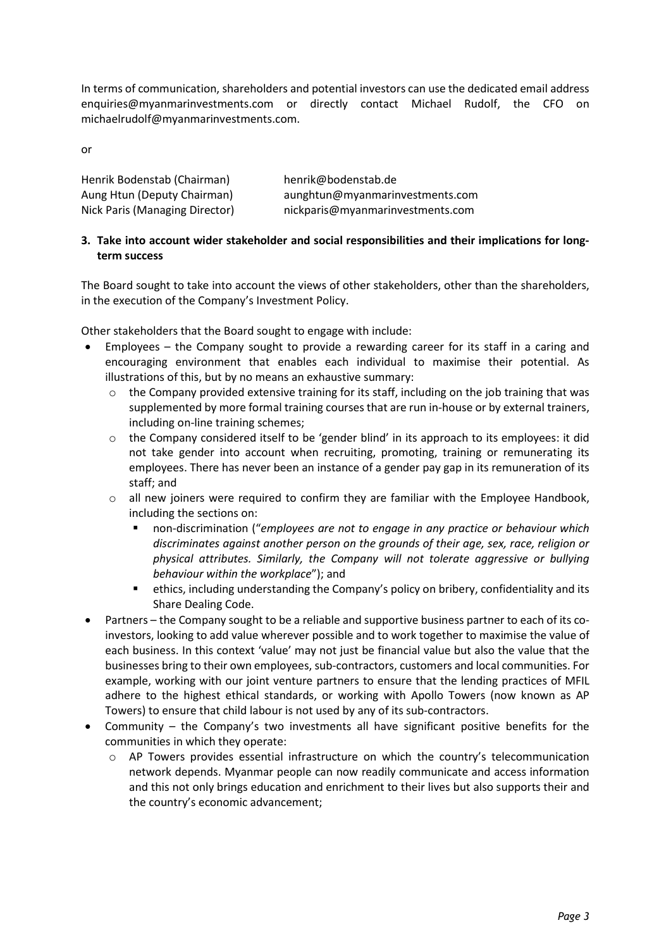In terms of communication, shareholders and potential investors can use the dedicated email address enquiries@myanmarinvestments.com or directly contact Michael Rudolf, the CFO on michaelrudolf@myanmarinvestments.com.

or

| Henrik Bodenstab (Chairman)    | henrik@bodenstab.de              |
|--------------------------------|----------------------------------|
| Aung Htun (Deputy Chairman)    | aunghtun@myanmarinvestments.com  |
| Nick Paris (Managing Director) | nickparis@myanmarinvestments.com |

# 3. Take into account wider stakeholder and social responsibilities and their implications for longterm success

The Board sought to take into account the views of other stakeholders, other than the shareholders, in the execution of the Company's Investment Policy.

Other stakeholders that the Board sought to engage with include:

- Employees the Company sought to provide a rewarding career for its staff in a caring and encouraging environment that enables each individual to maximise their potential. As illustrations of this, but by no means an exhaustive summary:
	- o the Company provided extensive training for its staff, including on the job training that was supplemented by more formal training courses that are run in-house or by external trainers, including on-line training schemes;
	- o the Company considered itself to be 'gender blind' in its approach to its employees: it did not take gender into account when recruiting, promoting, training or remunerating its employees. There has never been an instance of a gender pay gap in its remuneration of its staff; and
	- o all new joiners were required to confirm they are familiar with the Employee Handbook, including the sections on:
		- non-discrimination ("employees are not to engage in any practice or behaviour which discriminates against another person on the grounds of their age, sex, race, religion or physical attributes. Similarly, the Company will not tolerate aggressive or bullying behaviour within the workplace"); and
		- ethics, including understanding the Company's policy on bribery, confidentiality and its Share Dealing Code.
- Partners the Company sought to be a reliable and supportive business partner to each of its coinvestors, looking to add value wherever possible and to work together to maximise the value of each business. In this context 'value' may not just be financial value but also the value that the businesses bring to their own employees, sub-contractors, customers and local communities. For example, working with our joint venture partners to ensure that the lending practices of MFIL adhere to the highest ethical standards, or working with Apollo Towers (now known as AP Towers) to ensure that child labour is not used by any of its sub-contractors.
- Community the Company's two investments all have significant positive benefits for the communities in which they operate:
	- o AP Towers provides essential infrastructure on which the country's telecommunication network depends. Myanmar people can now readily communicate and access information and this not only brings education and enrichment to their lives but also supports their and the country's economic advancement;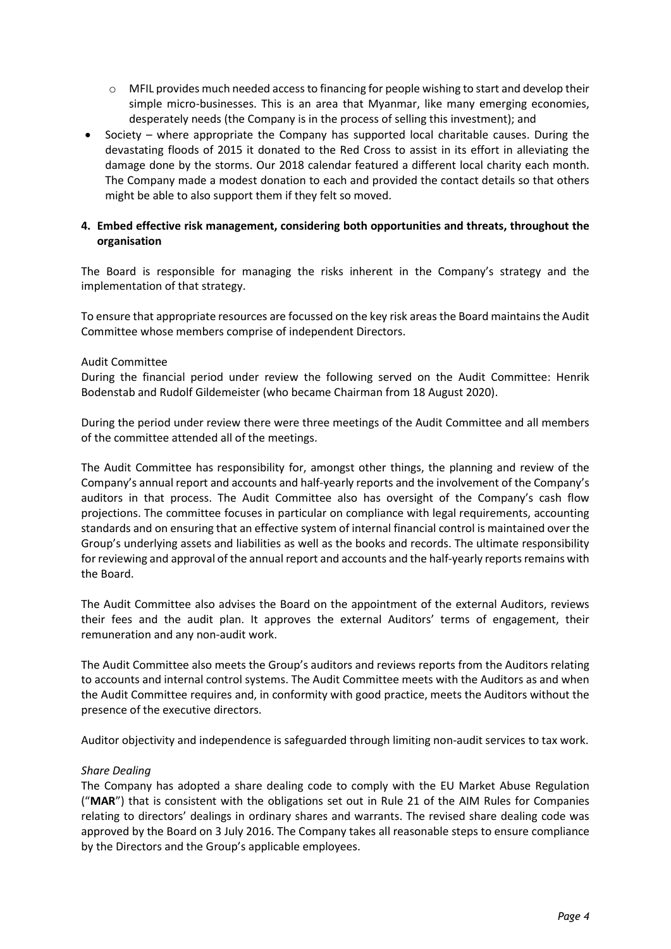- $\circ$  MFIL provides much needed access to financing for people wishing to start and develop their simple micro-businesses. This is an area that Myanmar, like many emerging economies, desperately needs (the Company is in the process of selling this investment); and
- Society where appropriate the Company has supported local charitable causes. During the devastating floods of 2015 it donated to the Red Cross to assist in its effort in alleviating the damage done by the storms. Our 2018 calendar featured a different local charity each month. The Company made a modest donation to each and provided the contact details so that others might be able to also support them if they felt so moved.

# 4. Embed effective risk management, considering both opportunities and threats, throughout the organisation

The Board is responsible for managing the risks inherent in the Company's strategy and the implementation of that strategy.

To ensure that appropriate resources are focussed on the key risk areas the Board maintains the Audit Committee whose members comprise of independent Directors.

#### Audit Committee

During the financial period under review the following served on the Audit Committee: Henrik Bodenstab and Rudolf Gildemeister (who became Chairman from 18 August 2020).

During the period under review there were three meetings of the Audit Committee and all members of the committee attended all of the meetings.

The Audit Committee has responsibility for, amongst other things, the planning and review of the Company's annual report and accounts and half-yearly reports and the involvement of the Company's auditors in that process. The Audit Committee also has oversight of the Company's cash flow projections. The committee focuses in particular on compliance with legal requirements, accounting standards and on ensuring that an effective system of internal financial control is maintained over the Group's underlying assets and liabilities as well as the books and records. The ultimate responsibility for reviewing and approval of the annual report and accounts and the half-yearly reports remains with the Board.

The Audit Committee also advises the Board on the appointment of the external Auditors, reviews their fees and the audit plan. It approves the external Auditors' terms of engagement, their remuneration and any non-audit work.

The Audit Committee also meets the Group's auditors and reviews reports from the Auditors relating to accounts and internal control systems. The Audit Committee meets with the Auditors as and when the Audit Committee requires and, in conformity with good practice, meets the Auditors without the presence of the executive directors.

Auditor objectivity and independence is safeguarded through limiting non-audit services to tax work.

# Share Dealing

The Company has adopted a share dealing code to comply with the EU Market Abuse Regulation ("MAR") that is consistent with the obligations set out in Rule 21 of the AIM Rules for Companies relating to directors' dealings in ordinary shares and warrants. The revised share dealing code was approved by the Board on 3 July 2016. The Company takes all reasonable steps to ensure compliance by the Directors and the Group's applicable employees.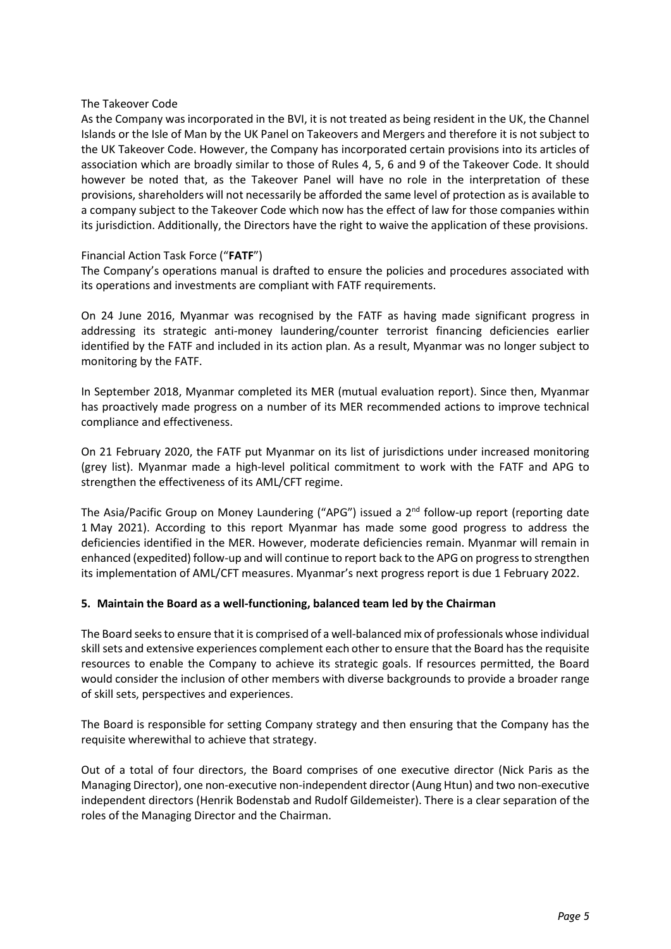#### The Takeover Code

As the Company was incorporated in the BVI, it is not treated as being resident in the UK, the Channel Islands or the Isle of Man by the UK Panel on Takeovers and Mergers and therefore it is not subject to the UK Takeover Code. However, the Company has incorporated certain provisions into its articles of association which are broadly similar to those of Rules 4, 5, 6 and 9 of the Takeover Code. It should however be noted that, as the Takeover Panel will have no role in the interpretation of these provisions, shareholders will not necessarily be afforded the same level of protection as is available to a company subject to the Takeover Code which now has the effect of law for those companies within its jurisdiction. Additionally, the Directors have the right to waive the application of these provisions.

# Financial Action Task Force ("FATF")

The Company's operations manual is drafted to ensure the policies and procedures associated with its operations and investments are compliant with FATF requirements.

On 24 June 2016, Myanmar was recognised by the FATF as having made significant progress in addressing its strategic anti-money laundering/counter terrorist financing deficiencies earlier identified by the FATF and included in its action plan. As a result, Myanmar was no longer subject to monitoring by the FATF.

In September 2018, Myanmar completed its MER (mutual evaluation report). Since then, Myanmar has proactively made progress on a number of its MER recommended actions to improve technical compliance and effectiveness.

On 21 February 2020, the FATF put Myanmar on its list of jurisdictions under increased monitoring (grey list). Myanmar made a high-level political commitment to work with the FATF and APG to strengthen the effectiveness of its AML/CFT regime.

The Asia/Pacific Group on Money Laundering ("APG") issued a  $2^{nd}$  follow-up report (reporting date 1 May 2021). According to this report Myanmar has made some good progress to address the deficiencies identified in the MER. However, moderate deficiencies remain. Myanmar will remain in enhanced (expedited) follow-up and will continue to report back to the APG on progress to strengthen its implementation of AML/CFT measures. Myanmar's next progress report is due 1 February 2022.

#### 5. Maintain the Board as a well-functioning, balanced team led by the Chairman

The Board seeks to ensure that it is comprised of a well-balanced mix of professionals whose individual skill sets and extensive experiences complement each other to ensure that the Board has the requisite resources to enable the Company to achieve its strategic goals. If resources permitted, the Board would consider the inclusion of other members with diverse backgrounds to provide a broader range of skill sets, perspectives and experiences.

The Board is responsible for setting Company strategy and then ensuring that the Company has the requisite wherewithal to achieve that strategy.

Out of a total of four directors, the Board comprises of one executive director (Nick Paris as the Managing Director), one non-executive non-independent director (Aung Htun) and two non-executive independent directors (Henrik Bodenstab and Rudolf Gildemeister). There is a clear separation of the roles of the Managing Director and the Chairman.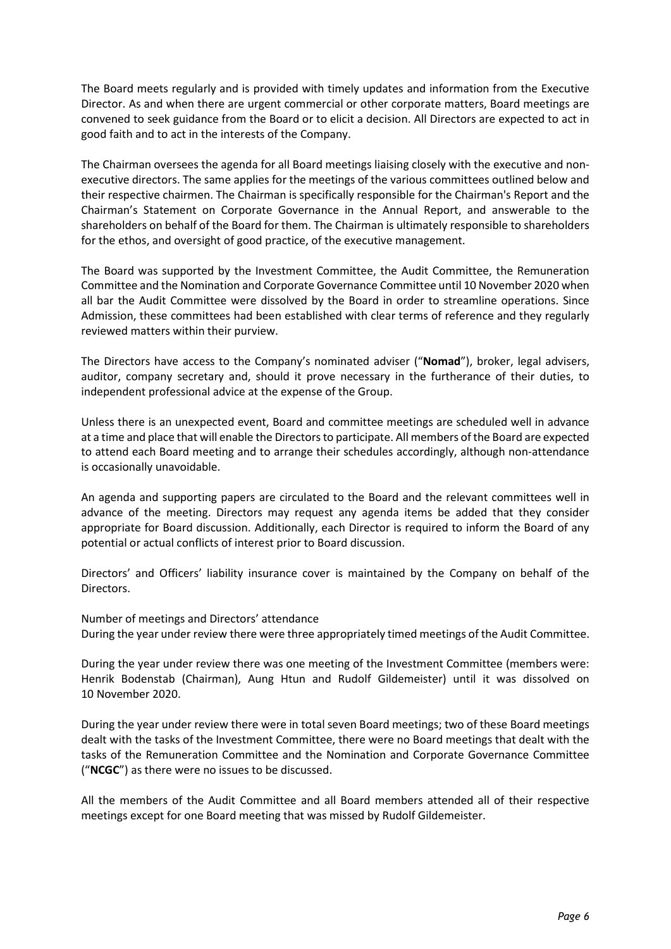The Board meets regularly and is provided with timely updates and information from the Executive Director. As and when there are urgent commercial or other corporate matters, Board meetings are convened to seek guidance from the Board or to elicit a decision. All Directors are expected to act in good faith and to act in the interests of the Company.

The Chairman oversees the agenda for all Board meetings liaising closely with the executive and nonexecutive directors. The same applies for the meetings of the various committees outlined below and their respective chairmen. The Chairman is specifically responsible for the Chairman's Report and the Chairman's Statement on Corporate Governance in the Annual Report, and answerable to the shareholders on behalf of the Board for them. The Chairman is ultimately responsible to shareholders for the ethos, and oversight of good practice, of the executive management.

The Board was supported by the Investment Committee, the Audit Committee, the Remuneration Committee and the Nomination and Corporate Governance Committee until 10 November 2020 when all bar the Audit Committee were dissolved by the Board in order to streamline operations. Since Admission, these committees had been established with clear terms of reference and they regularly reviewed matters within their purview.

The Directors have access to the Company's nominated adviser ("Nomad"), broker, legal advisers, auditor, company secretary and, should it prove necessary in the furtherance of their duties, to independent professional advice at the expense of the Group.

Unless there is an unexpected event, Board and committee meetings are scheduled well in advance at a time and place that will enable the Directors to participate. All members of the Board are expected to attend each Board meeting and to arrange their schedules accordingly, although non-attendance is occasionally unavoidable.

An agenda and supporting papers are circulated to the Board and the relevant committees well in advance of the meeting. Directors may request any agenda items be added that they consider appropriate for Board discussion. Additionally, each Director is required to inform the Board of any potential or actual conflicts of interest prior to Board discussion.

Directors' and Officers' liability insurance cover is maintained by the Company on behalf of the Directors.

Number of meetings and Directors' attendance During the year under review there were three appropriately timed meetings of the Audit Committee.

During the year under review there was one meeting of the Investment Committee (members were: Henrik Bodenstab (Chairman), Aung Htun and Rudolf Gildemeister) until it was dissolved on 10 November 2020.

During the year under review there were in total seven Board meetings; two of these Board meetings dealt with the tasks of the Investment Committee, there were no Board meetings that dealt with the tasks of the Remuneration Committee and the Nomination and Corporate Governance Committee ("NCGC") as there were no issues to be discussed.

All the members of the Audit Committee and all Board members attended all of their respective meetings except for one Board meeting that was missed by Rudolf Gildemeister.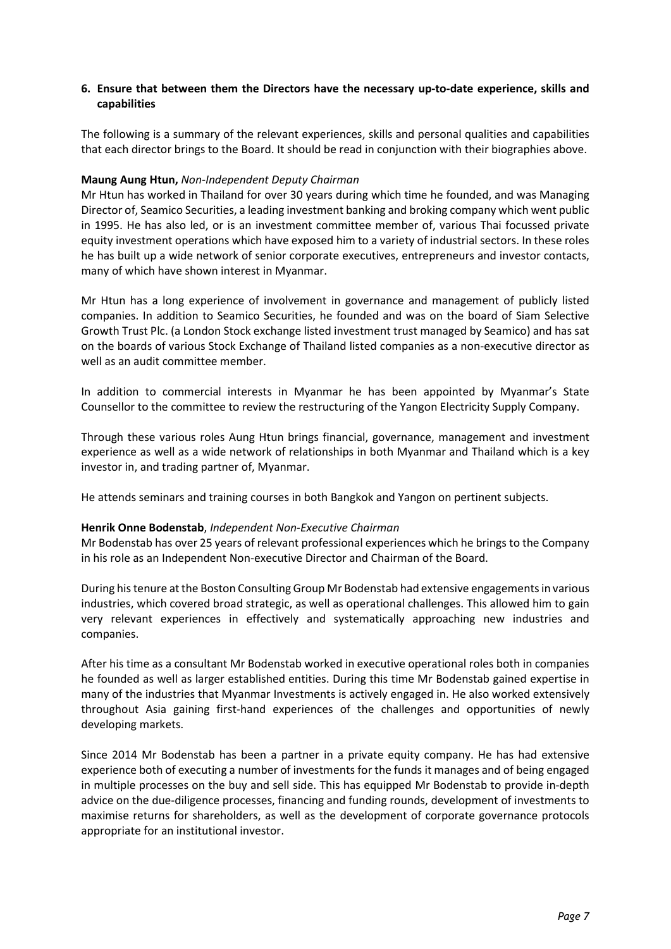# 6. Ensure that between them the Directors have the necessary up-to-date experience, skills and capabilities

The following is a summary of the relevant experiences, skills and personal qualities and capabilities that each director brings to the Board. It should be read in conjunction with their biographies above.

#### Maung Aung Htun, Non-Independent Deputy Chairman

Mr Htun has worked in Thailand for over 30 years during which time he founded, and was Managing Director of, Seamico Securities, a leading investment banking and broking company which went public in 1995. He has also led, or is an investment committee member of, various Thai focussed private equity investment operations which have exposed him to a variety of industrial sectors. In these roles he has built up a wide network of senior corporate executives, entrepreneurs and investor contacts, many of which have shown interest in Myanmar.

Mr Htun has a long experience of involvement in governance and management of publicly listed companies. In addition to Seamico Securities, he founded and was on the board of Siam Selective Growth Trust Plc. (a London Stock exchange listed investment trust managed by Seamico) and has sat on the boards of various Stock Exchange of Thailand listed companies as a non-executive director as well as an audit committee member.

In addition to commercial interests in Myanmar he has been appointed by Myanmar's State Counsellor to the committee to review the restructuring of the Yangon Electricity Supply Company.

Through these various roles Aung Htun brings financial, governance, management and investment experience as well as a wide network of relationships in both Myanmar and Thailand which is a key investor in, and trading partner of, Myanmar.

He attends seminars and training courses in both Bangkok and Yangon on pertinent subjects.

#### Henrik Onne Bodenstab, Independent Non-Executive Chairman

Mr Bodenstab has over 25 years of relevant professional experiences which he brings to the Company in his role as an Independent Non-executive Director and Chairman of the Board.

During his tenure at the Boston Consulting Group Mr Bodenstab had extensive engagements in various industries, which covered broad strategic, as well as operational challenges. This allowed him to gain very relevant experiences in effectively and systematically approaching new industries and companies.

After his time as a consultant Mr Bodenstab worked in executive operational roles both in companies he founded as well as larger established entities. During this time Mr Bodenstab gained expertise in many of the industries that Myanmar Investments is actively engaged in. He also worked extensively throughout Asia gaining first-hand experiences of the challenges and opportunities of newly developing markets.

Since 2014 Mr Bodenstab has been a partner in a private equity company. He has had extensive experience both of executing a number of investments for the funds it manages and of being engaged in multiple processes on the buy and sell side. This has equipped Mr Bodenstab to provide in-depth advice on the due-diligence processes, financing and funding rounds, development of investments to maximise returns for shareholders, as well as the development of corporate governance protocols appropriate for an institutional investor.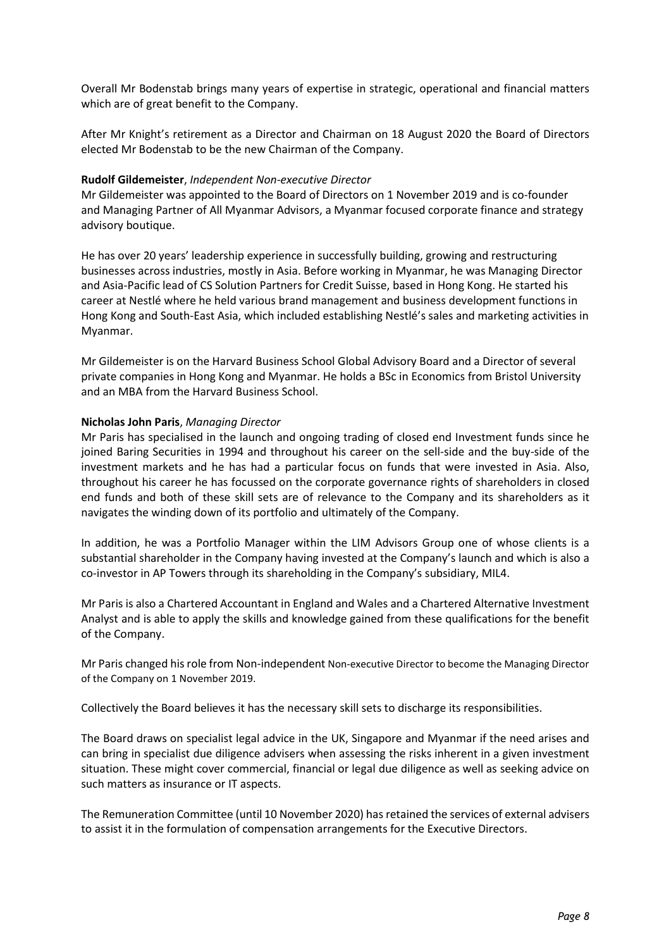Overall Mr Bodenstab brings many years of expertise in strategic, operational and financial matters which are of great benefit to the Company.

After Mr Knight's retirement as a Director and Chairman on 18 August 2020 the Board of Directors elected Mr Bodenstab to be the new Chairman of the Company.

#### Rudolf Gildemeister, Independent Non-executive Director

Mr Gildemeister was appointed to the Board of Directors on 1 November 2019 and is co-founder and Managing Partner of All Myanmar Advisors, a Myanmar focused corporate finance and strategy advisory boutique.

He has over 20 years' leadership experience in successfully building, growing and restructuring businesses across industries, mostly in Asia. Before working in Myanmar, he was Managing Director and Asia-Pacific lead of CS Solution Partners for Credit Suisse, based in Hong Kong. He started his career at Nestlé where he held various brand management and business development functions in Hong Kong and South-East Asia, which included establishing Nestlé's sales and marketing activities in Myanmar.

Mr Gildemeister is on the Harvard Business School Global Advisory Board and a Director of several private companies in Hong Kong and Myanmar. He holds a BSc in Economics from Bristol University and an MBA from the Harvard Business School.

#### Nicholas John Paris, Managing Director

Mr Paris has specialised in the launch and ongoing trading of closed end Investment funds since he joined Baring Securities in 1994 and throughout his career on the sell-side and the buy-side of the investment markets and he has had a particular focus on funds that were invested in Asia. Also, throughout his career he has focussed on the corporate governance rights of shareholders in closed end funds and both of these skill sets are of relevance to the Company and its shareholders as it navigates the winding down of its portfolio and ultimately of the Company.

In addition, he was a Portfolio Manager within the LIM Advisors Group one of whose clients is a substantial shareholder in the Company having invested at the Company's launch and which is also a co-investor in AP Towers through its shareholding in the Company's subsidiary, MIL4.

Mr Paris is also a Chartered Accountant in England and Wales and a Chartered Alternative Investment Analyst and is able to apply the skills and knowledge gained from these qualifications for the benefit of the Company.

Mr Paris changed his role from Non-independent Non-executive Director to become the Managing Director of the Company on 1 November 2019.

Collectively the Board believes it has the necessary skill sets to discharge its responsibilities.

The Board draws on specialist legal advice in the UK, Singapore and Myanmar if the need arises and can bring in specialist due diligence advisers when assessing the risks inherent in a given investment situation. These might cover commercial, financial or legal due diligence as well as seeking advice on such matters as insurance or IT aspects.

The Remuneration Committee (until 10 November 2020) has retained the services of external advisers to assist it in the formulation of compensation arrangements for the Executive Directors.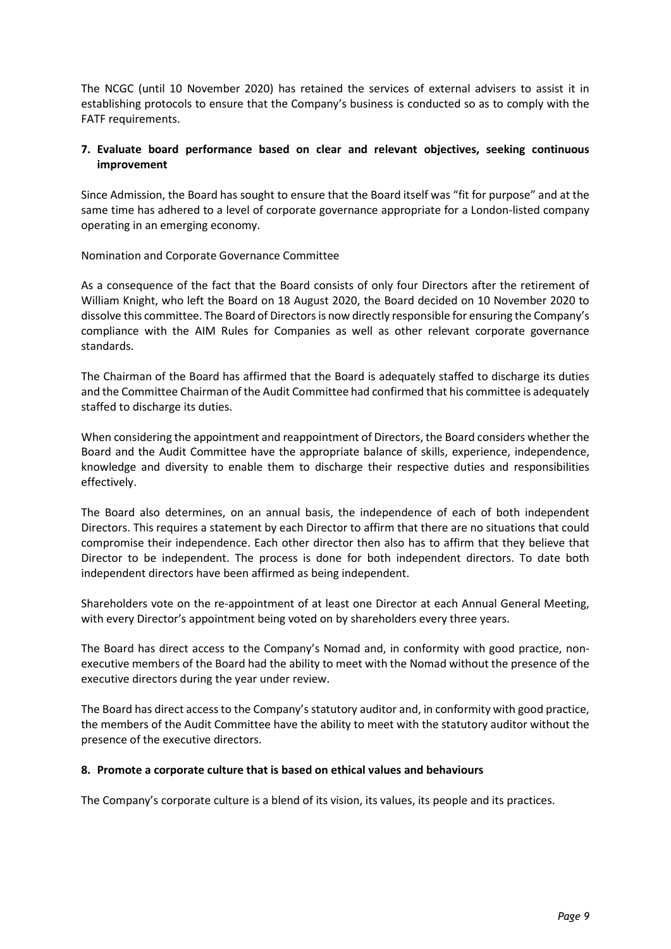The NCGC (until 10 November 2020) has retained the services of external advisers to assist it in establishing protocols to ensure that the Company's business is conducted so as to comply with the FATF requirements.

# 7. Evaluate board performance based on clear and relevant objectives, seeking continuous improvement

Since Admission, the Board has sought to ensure that the Board itself was "fit for purpose" and at the same time has adhered to a level of corporate governance appropriate for a London-listed company operating in an emerging economy.

Nomination and Corporate Governance Committee

As a consequence of the fact that the Board consists of only four Directors after the retirement of William Knight, who left the Board on 18 August 2020, the Board decided on 10 November 2020 to dissolve this committee. The Board of Directors is now directly responsible for ensuring the Company's compliance with the AIM Rules for Companies as well as other relevant corporate governance standards.

The Chairman of the Board has affirmed that the Board is adequately staffed to discharge its duties and the Committee Chairman of the Audit Committee had confirmed that his committee is adequately staffed to discharge its duties.

When considering the appointment and reappointment of Directors, the Board considers whether the Board and the Audit Committee have the appropriate balance of skills, experience, independence, knowledge and diversity to enable them to discharge their respective duties and responsibilities effectively.

The Board also determines, on an annual basis, the independence of each of both independent Directors. This requires a statement by each Director to affirm that there are no situations that could compromise their independence. Each other director then also has to affirm that they believe that Director to be independent. The process is done for both independent directors. To date both independent directors have been affirmed as being independent.

Shareholders vote on the re-appointment of at least one Director at each Annual General Meeting, with every Director's appointment being voted on by shareholders every three years.

The Board has direct access to the Company's Nomad and, in conformity with good practice, nonexecutive members of the Board had the ability to meet with the Nomad without the presence of the executive directors during the year under review.

The Board has direct access to the Company's statutory auditor and, in conformity with good practice, the members of the Audit Committee have the ability to meet with the statutory auditor without the presence of the executive directors.

#### 8. Promote a corporate culture that is based on ethical values and behaviours

The Company's corporate culture is a blend of its vision, its values, its people and its practices.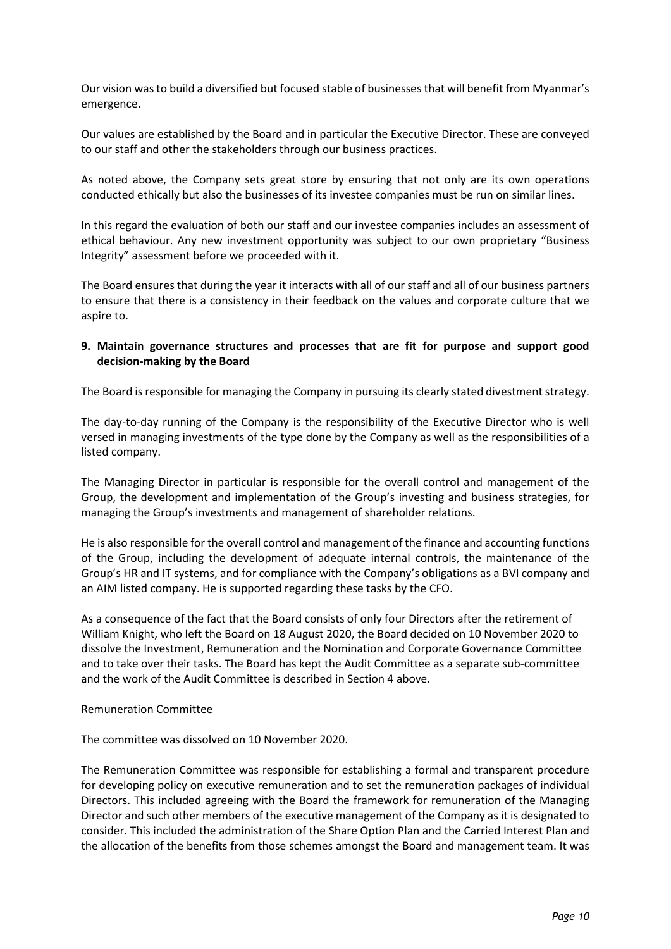Our vision was to build a diversified but focused stable of businesses that will benefit from Myanmar's emergence.

Our values are established by the Board and in particular the Executive Director. These are conveyed to our staff and other the stakeholders through our business practices.

As noted above, the Company sets great store by ensuring that not only are its own operations conducted ethically but also the businesses of its investee companies must be run on similar lines.

In this regard the evaluation of both our staff and our investee companies includes an assessment of ethical behaviour. Any new investment opportunity was subject to our own proprietary "Business Integrity" assessment before we proceeded with it.

The Board ensures that during the year it interacts with all of our staff and all of our business partners to ensure that there is a consistency in their feedback on the values and corporate culture that we aspire to.

# 9. Maintain governance structures and processes that are fit for purpose and support good decision-making by the Board

The Board is responsible for managing the Company in pursuing its clearly stated divestment strategy.

The day-to-day running of the Company is the responsibility of the Executive Director who is well versed in managing investments of the type done by the Company as well as the responsibilities of a listed company.

The Managing Director in particular is responsible for the overall control and management of the Group, the development and implementation of the Group's investing and business strategies, for managing the Group's investments and management of shareholder relations.

He is also responsible for the overall control and management of the finance and accounting functions of the Group, including the development of adequate internal controls, the maintenance of the Group's HR and IT systems, and for compliance with the Company's obligations as a BVI company and an AIM listed company. He is supported regarding these tasks by the CFO.

As a consequence of the fact that the Board consists of only four Directors after the retirement of William Knight, who left the Board on 18 August 2020, the Board decided on 10 November 2020 to dissolve the Investment, Remuneration and the Nomination and Corporate Governance Committee and to take over their tasks. The Board has kept the Audit Committee as a separate sub-committee and the work of the Audit Committee is described in Section 4 above.

Remuneration Committee

The committee was dissolved on 10 November 2020.

The Remuneration Committee was responsible for establishing a formal and transparent procedure for developing policy on executive remuneration and to set the remuneration packages of individual Directors. This included agreeing with the Board the framework for remuneration of the Managing Director and such other members of the executive management of the Company as it is designated to consider. This included the administration of the Share Option Plan and the Carried Interest Plan and the allocation of the benefits from those schemes amongst the Board and management team. It was